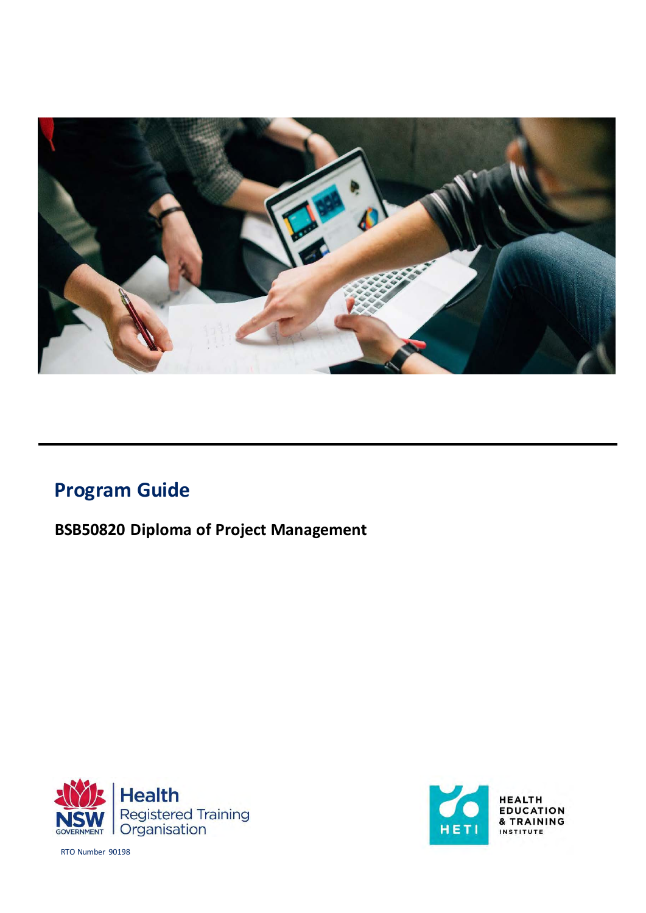

# **Program Guide**

**BSB50820 Diploma of Project Management**





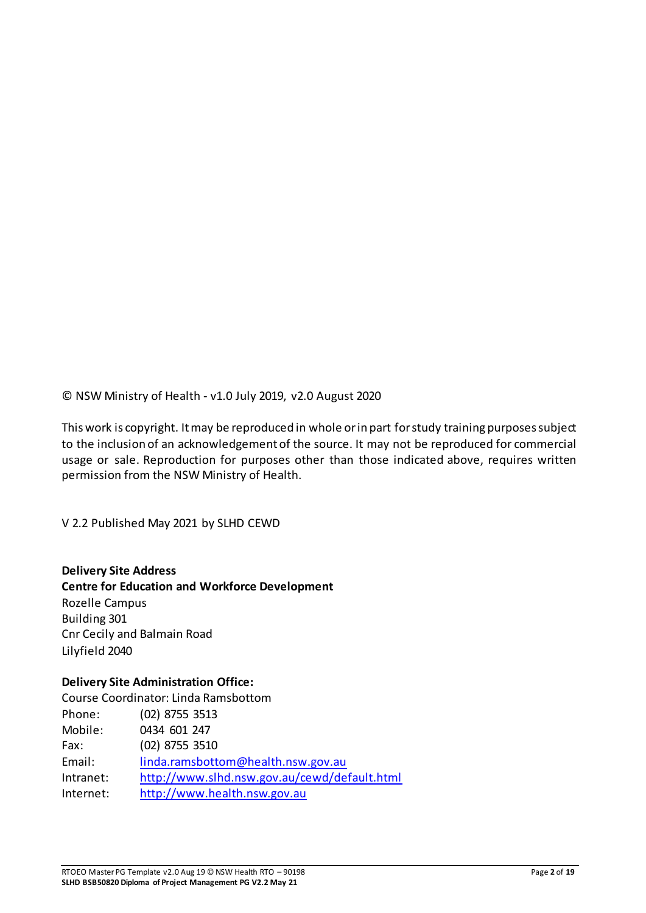© NSW Ministry of Health - v1.0 July 2019, v2.0 August 2020

This work is copyright. It may be reproduced in whole or in part for study training purposes subject to the inclusion of an acknowledgement of the source. It may not be reproduced for commercial usage or sale. Reproduction for purposes other than those indicated above, requires written permission from the NSW Ministry of Health.

V 2.2 Published May 2021 by SLHD CEWD

#### **Delivery Site Address**

**Centre for Education and Workforce Development**  Rozelle Campus Building 301 Cnr Cecily and Balmain Road Lilyfield 2040

#### **Delivery Site Administration Office:**

Course Coordinator: Linda Ramsbottom Phone: (02) 8755 3513 Mobile: 0434 601 247 Fax: (02) 8755 3510 Email: [linda.ramsbottom@health.nsw.gov.au](mailto:linda.ramsbottom@health.nsw.gov.au) Intranet: http://www.slhd.nsw.gov.au/cewd/default.html Internet: [http://www.health.nsw.gov.au](http://www.health.nsw.gov.au/)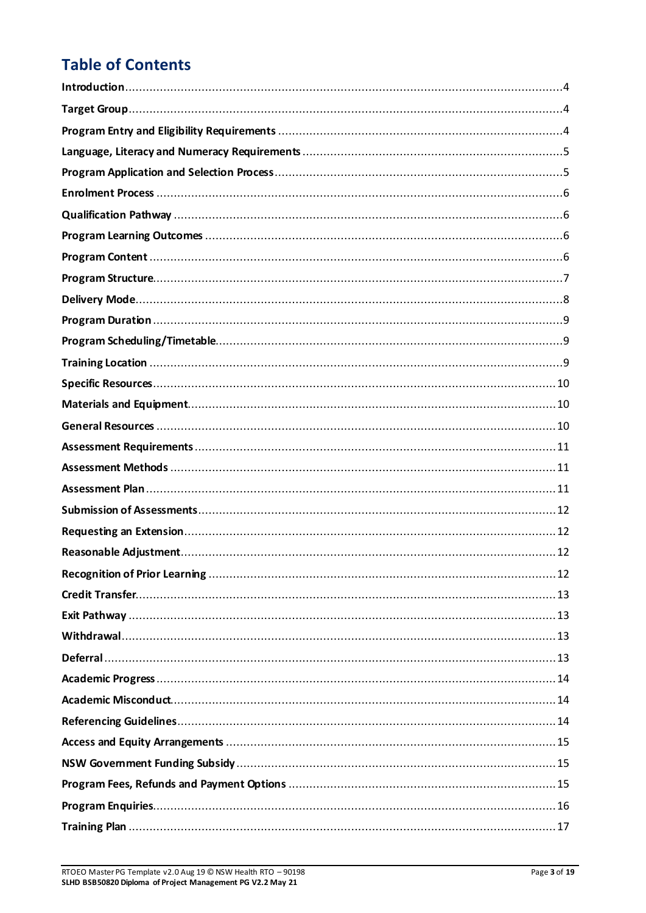# **Table of Contents**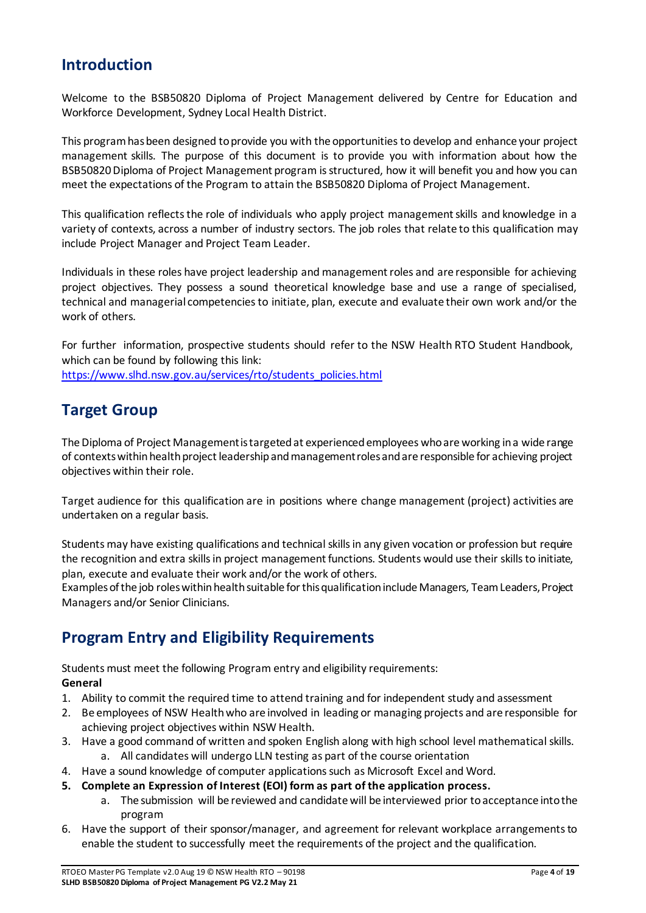### <span id="page-3-0"></span>**Introduction**

Welcome to the BSB50820 Diploma of Project Management delivered by Centre for Education and Workforce Development, Sydney Local Health District.

This program has been designed to provide you with the opportunities to develop and enhance your project management skills. The purpose of this document is to provide you with information about how the BSB50820 Diploma of Project Management program is structured, how it will benefit you and how you can meet the expectations of the Program to attain the BSB50820 Diploma of Project Management.

This qualification reflects the role of individuals who apply project management skills and knowledge in a variety of contexts, across a number of industry sectors. The job roles that relate to this qualification may include Project Manager and Project Team Leader.

Individuals in these roles have project leadership and management roles and are responsible for achieving project objectives. They possess a sound theoretical knowledge base and use a range of specialised, technical and managerial competencies to initiate, plan, execute and evaluate their own work and/or the work of others.

For further information, prospective students should refer to the NSW Health RTO Student Handbook, which can be found by following this link: [https://www.slhd.nsw.gov.au/services/rto/students\\_policies.html](https://www.slhd.nsw.gov.au/services/rto/students_policies.html)

# <span id="page-3-1"></span>**Target Group**

The Diploma of Project Management is targeted at experienced employees who are working in a wide range of contexts within health project leadership and management roles and are responsible for achieving project objectives within their role.

Target audience for this qualification are in positions where change management (project) activities are undertaken on a regular basis.

Students may have existing qualifications and technical skills in any given vocation or profession but require the recognition and extra skills in project management functions. Students would use their skills to initiate, plan, execute and evaluate their work and/or the work of others.

Examples of the job roles within health suitable for this qualification include Managers, Team Leaders, Project Managers and/or Senior Clinicians.

# <span id="page-3-2"></span>**Program Entry and Eligibility Requirements**

Students must meet the following Program entry and eligibility requirements: **General** 

- 1. Ability to commit the required time to attend training and for independent study and assessment
- 2. Be employees of NSW Health who are involved in leading or managing projects and are responsible for achieving project objectives within NSW Health.
- 3. Have a good command of written and spoken English along with high school level mathematical skills. a. All candidates will undergo LLN testing as part of the course orientation
- 4. Have a sound knowledge of computer applications such as Microsoft Excel and Word.
- **5. Complete an Expression of Interest (EOI) form as part of the application process.** 
	- a. The submission will be reviewed and candidate will be interviewed prior to acceptance into the program
- 6. Have the support of their sponsor/manager, and agreement for relevant workplace arrangements to enable the student to successfully meet the requirements of the project and the qualification.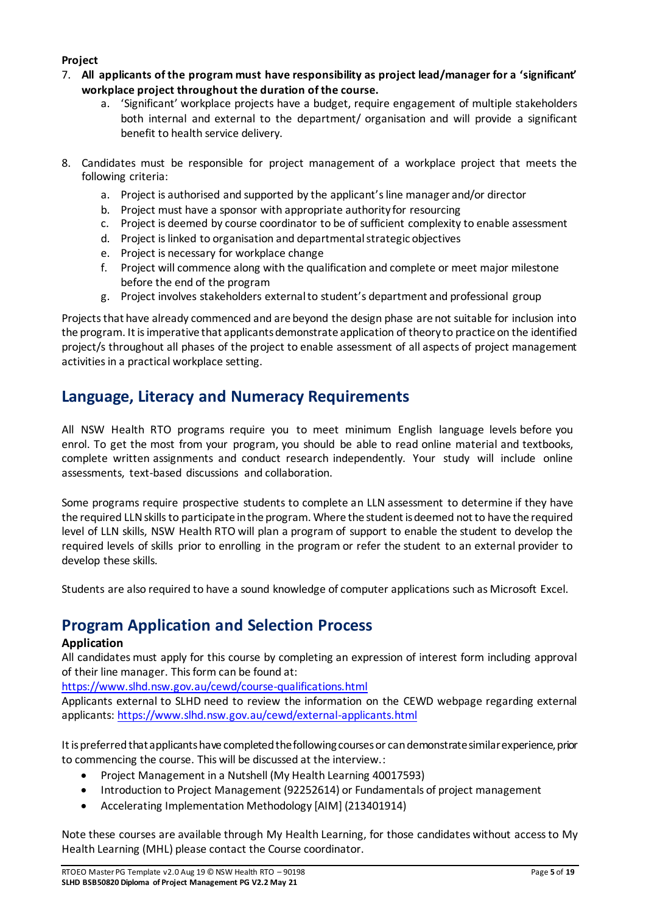#### **Project**

- 7. **All applicants of the program must have responsibility as project lead/manager for a 'significant' workplace project throughout the duration of the course.**
	- a. 'Significant' workplace projects have a budget, require engagement of multiple stakeholders both internal and external to the department/ organisation and will provide a significant benefit to health service delivery.
- 8. Candidates must be responsible for project management of a workplace project that meets the following criteria:
	- a. Project is authorised and supported by the applicant's line manager and/or director
	- b. Project must have a sponsor with appropriate authority for resourcing
	- c. Project is deemed by course coordinator to be of sufficient complexity to enable assessment
	- d. Project is linked to organisation and departmental strategic objectives
	- e. Project is necessary for workplace change
	- f. Project will commence along with the qualification and complete or meet major milestone before the end of the program
	- g. Project involves stakeholders external to student's department and professional group

Projects that have already commenced and are beyond the design phase are not suitable for inclusion into the program. It is imperative that applicants demonstrate application of theory to practice on the identified project/s throughout all phases of the project to enable assessment of all aspects of project management activities in a practical workplace setting.

# <span id="page-4-0"></span>**Language, Literacy and Numeracy Requirements**

All NSW Health RTO programs require you to meet minimum English language levels before you enrol. To get the most from your program, you should be able to read online material and textbooks, complete written assignments and conduct research independently. Your study will include online assessments, text-based discussions and collaboration.

Some programs require prospective students to complete an LLN assessment to determine if they have the required LLN skills to participate in the program. Where the student is deemed not to have the required level of LLN skills, NSW Health RTO will plan a program of support to enable the student to develop the required levels of skills prior to enrolling in the program or refer the student to an external provider to develop these skills.

Students are also required to have a sound knowledge of computer applications such as Microsoft Excel.

# <span id="page-4-1"></span>**Program Application and Selection Process**

#### **Application**

All candidates must apply for this course by completing an expression of interest form including approval of their line manager. This form can be found at:

<https://www.slhd.nsw.gov.au/cewd/course-qualifications.html>

Applicants external to SLHD need to review the information on the CEWD webpage regarding external applicants[: https://www.slhd.nsw.gov.au/cewd/external-applicants.html](https://www.slhd.nsw.gov.au/cewd/external-applicants.html)

It is preferred that applicants have completed the following courses or can demonstrate similar experience, prior to commencing the course. This will be discussed at the interview.:

- Project Management in a Nutshell (My Health Learning 40017593)
- Introduction to Project Management (92252614) or Fundamentals of project management
- Accelerating Implementation Methodology [AIM] (213401914)

Note these courses are available through My Health Learning, for those candidates without access to My Health Learning (MHL) please contact the Course coordinator.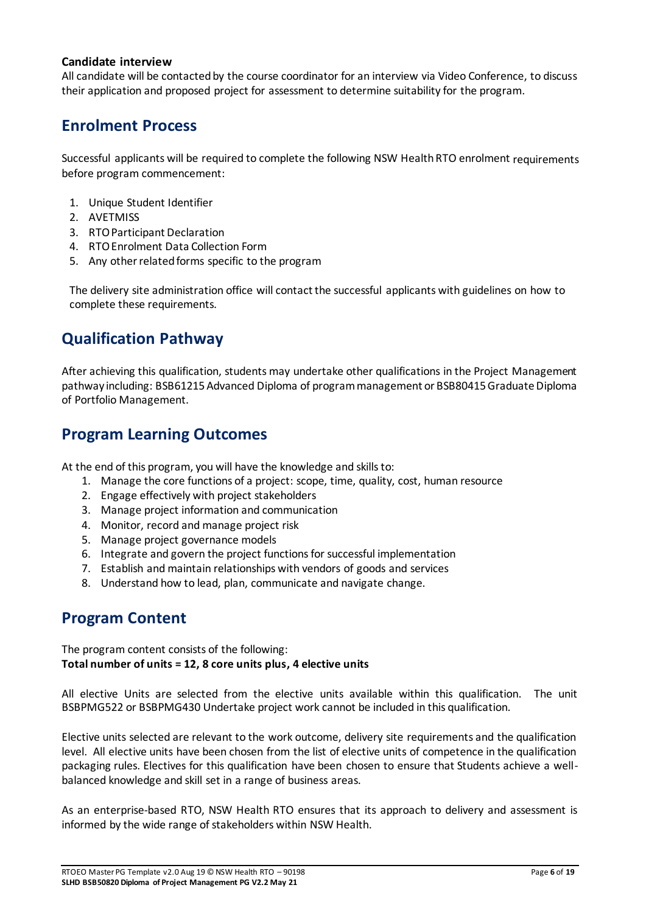#### **Candidate interview**

All candidate will be contacted by the course coordinator for an interview via Video Conference, to discuss their application and proposed project for assessment to determine suitability for the program.

### <span id="page-5-0"></span>**Enrolment Process**

Successful applicants will be required to complete the following NSW Health RTO enrolment requirements before program commencement:

- 1. Unique Student Identifier
- 2. AVETMISS
- 3. RTO Participant Declaration
- 4. RTO Enrolment Data Collection Form
- 5. Any other related forms specific to the program

The delivery site administration office will contact the successful applicants with guidelines on how to complete these requirements.

# <span id="page-5-1"></span>**Qualification Pathway**

After achieving this qualification, students may undertake other qualifications in the Project Management pathway including: BSB61215 Advanced Diploma of program management or BSB80415 Graduate Diploma of Portfolio Management.

### <span id="page-5-2"></span>**Program Learning Outcomes**

At the end of this program, you will have the knowledge and skills to:

- 1. Manage the core functions of a project: scope, time, quality, cost, human resource
- 2. Engage effectively with project stakeholders
- 3. Manage project information and communication
- 4. Monitor, record and manage project risk
- 5. Manage project governance models
- 6. Integrate and govern the project functions for successful implementation
- 7. Establish and maintain relationships with vendors of goods and services
- 8. Understand how to lead, plan, communicate and navigate change.

### <span id="page-5-3"></span>**Program Content**

The program content consists of the following: **Total number of units = 12, 8 core units plus, 4 elective units** 

All elective Units are selected from the elective units available within this qualification. The unit BSBPMG522 or BSBPMG430 Undertake project work cannot be included in this qualification.

Elective units selected are relevant to the work outcome, delivery site requirements and the qualification level. All elective units have been chosen from the list of elective units of competence in the qualification packaging rules. Electives for this qualification have been chosen to ensure that Students achieve a wellbalanced knowledge and skill set in a range of business areas.

As an enterprise-based RTO, NSW Health RTO ensures that its approach to delivery and assessment is informed by the wide range of stakeholders within NSW Health.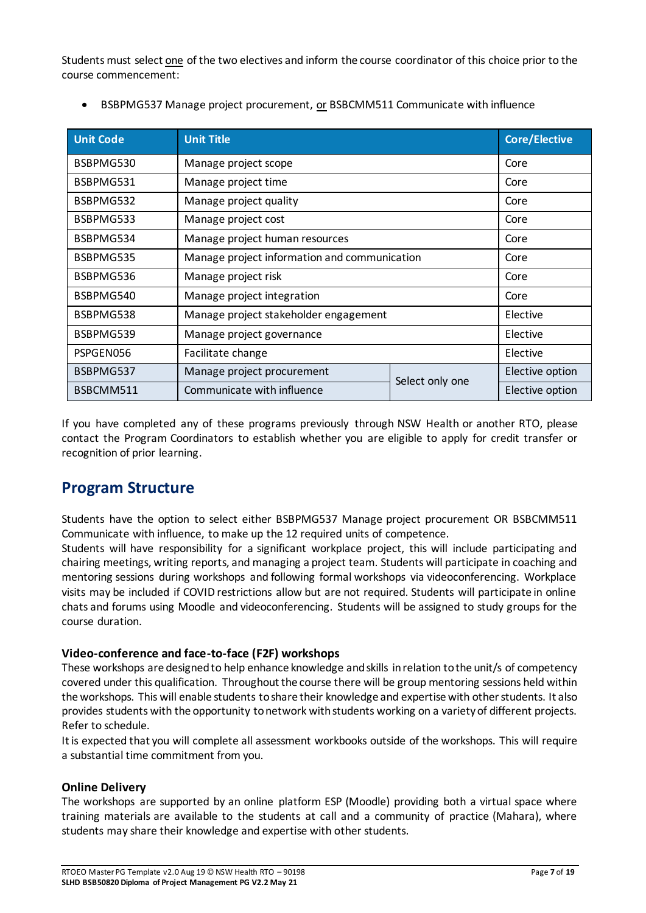Students must select one of the two electives and inform the course coordinator of this choice prior to the course commencement:

| <b>Unit Code</b> | <b>Unit Title</b>                            | <b>Core/Elective</b> |      |  |  |  |  |
|------------------|----------------------------------------------|----------------------|------|--|--|--|--|
| BSBPMG530        | Manage project scope                         | Core                 |      |  |  |  |  |
| BSBPMG531        | Manage project time                          |                      | Core |  |  |  |  |
| BSBPMG532        | Manage project quality                       |                      | Core |  |  |  |  |
| BSBPMG533        | Manage project cost                          |                      | Core |  |  |  |  |
| BSBPMG534        | Manage project human resources               |                      |      |  |  |  |  |
| BSBPMG535        | Manage project information and communication | Core                 |      |  |  |  |  |
| BSBPMG536        | Manage project risk                          | Core                 |      |  |  |  |  |
| BSBPMG540        | Manage project integration                   | Core                 |      |  |  |  |  |
| BSBPMG538        | Manage project stakeholder engagement        | Elective             |      |  |  |  |  |
| BSBPMG539        | Manage project governance                    | Elective             |      |  |  |  |  |
| PSPGEN056        | Facilitate change                            | Elective             |      |  |  |  |  |
| BSBPMG537        | Manage project procurement                   | Elective option      |      |  |  |  |  |
| BSBCMM511        | Communicate with influence                   | Elective option      |      |  |  |  |  |

BSBPMG537 Manage project procurement, or BSBCMM511 Communicate with influence

If you have completed any of these programs previously through NSW Health or another RTO, please contact the Program Coordinators to establish whether you are eligible to apply for credit transfer or recognition of prior learning.

### <span id="page-6-0"></span>**Program Structure**

Students have the option to select either BSBPMG537 Manage project procurement OR BSBCMM511 Communicate with influence, to make up the 12 required units of competence.

Students will have responsibility for a significant workplace project, this will include participating and chairing meetings, writing reports, and managing a project team. Students will participate in coaching and mentoring sessions during workshops and following formal workshops via videoconferencing. Workplace visits may be included if COVID restrictions allow but are not required. Students will participate in online chats and forums using Moodle and videoconferencing. Students will be assigned to study groups for the course duration.

#### **Video-conference and face-to-face (F2F) workshops**

These workshops are designed to help enhance knowledge and skills in relation to the unit/s of competency covered under this qualification. Throughout the course there will be group mentoring sessions held within the workshops. This will enable students to share their knowledge and expertise with other students. It also provides students with the opportunity to network with students working on a variety of different projects. Refer to schedule.

It is expected that you will complete all assessment workbooks outside of the workshops. This will require a substantial time commitment from you.

#### **Online Delivery**

The workshops are supported by an online platform ESP (Moodle) providing both a virtual space where training materials are available to the students at call and a community of practice (Mahara), where students may share their knowledge and expertise with other students.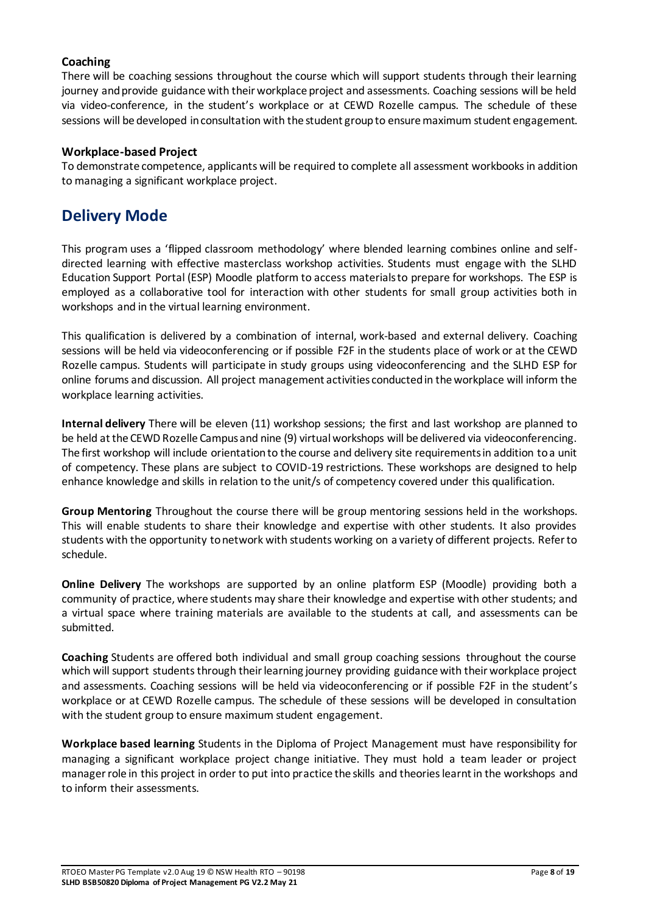#### **Coaching**

There will be coaching sessions throughout the course which will support students through their learning journey and provide guidance with their workplace project and assessments. Coaching sessions will be held via video-conference, in the student's workplace or at CEWD Rozelle campus. The schedule of these sessions will be developed in consultation with the student group to ensure maximum student engagement.

#### **Workplace-based Project**

To demonstrate competence, applicants will be required to complete all assessment workbooks in addition to managing a significant workplace project.

### <span id="page-7-0"></span>**Delivery Mode**

This program uses a 'flipped classroom methodology' where blended learning combines online and selfdirected learning with effective masterclass workshop activities. Students must engage with the SLHD Education Support Portal (ESP) Moodle platform to access materials to prepare for workshops. The ESP is employed as a collaborative tool for interaction with other students for small group activities both in workshops and in the virtual learning environment.

This qualification is delivered by a combination of internal, work-based and external delivery. Coaching sessions will be held via videoconferencing or if possible F2F in the students place of work or at the CEWD Rozelle campus. Students will participate in study groups using videoconferencing and the SLHD ESP for online forums and discussion. All project management activities conducted in the workplace will inform the workplace learning activities.

**Internal delivery** There will be eleven (11) workshop sessions; the first and last workshop are planned to be held at the CEWD Rozelle Campus and nine (9) virtual workshops will be delivered via videoconferencing. The first workshop will include orientation to the course and delivery site requirements in addition to a unit of competency. These plans are subject to COVID-19 restrictions. These workshops are designed to help enhance knowledge and skills in relation to the unit/s of competency covered under this qualification.

**Group Mentoring** Throughout the course there will be group mentoring sessions held in the workshops. This will enable students to share their knowledge and expertise with other students. It also provides students with the opportunity to network with students working on a variety of different projects. Refer to schedule.

**Online Delivery** The workshops are supported by an online platform ESP (Moodle) providing both a community of practice, where students may share their knowledge and expertise with other students; and a virtual space where training materials are available to the students at call, and assessments can be submitted.

**Coaching** Students are offered both individual and small group coaching sessions throughout the course which will support students through their learning journey providing guidance with their workplace project and assessments. Coaching sessions will be held via videoconferencing or if possible F2F in the student's workplace or at CEWD Rozelle campus. The schedule of these sessions will be developed in consultation with the student group to ensure maximum student engagement.

**Workplace based learning** Students in the Diploma of Project Management must have responsibility for managing a significant workplace project change initiative. They must hold a team leader or project manager role in this project in order to put into practice the skills and theories learnt in the workshops and to inform their assessments.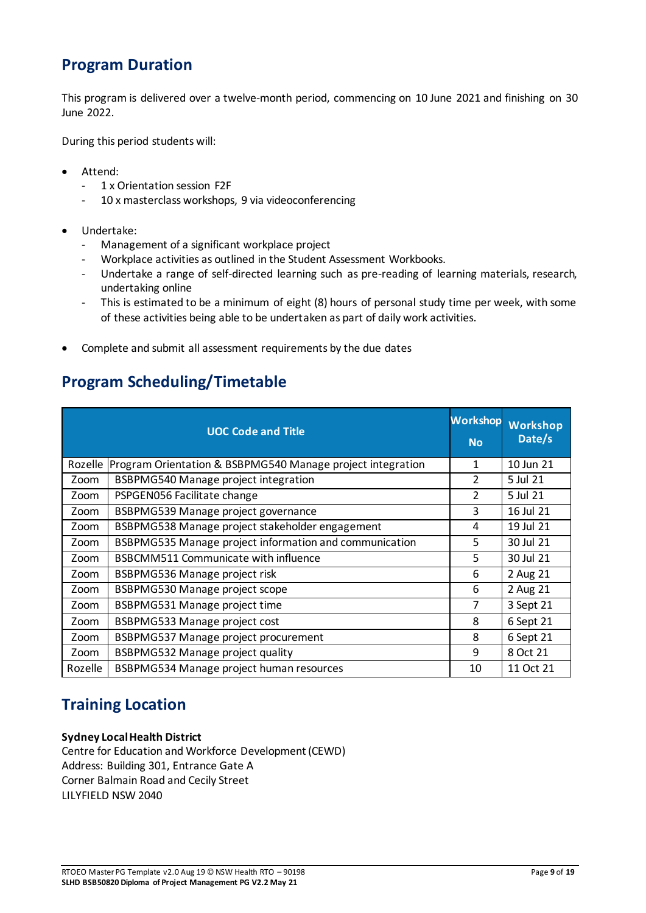# <span id="page-8-0"></span>**Program Duration**

This program is delivered over a twelve-month period, commencing on 10 June 2021 and finishing on 30 June 2022.

During this period students will:

- Attend:
	- 1 x Orientation session F2F
	- 10 x masterclass workshops, 9 via videoconferencing
- Undertake:
	- Management of a significant workplace project
	- Workplace activities as outlined in the Student Assessment Workbooks.
	- Undertake a range of self-directed learning such as pre-reading of learning materials, research, undertaking online
	- This is estimated to be a minimum of eight (8) hours of personal study time per week, with some of these activities being able to be undertaken as part of daily work activities.
- Complete and submit all assessment requirements by the due dates

### <span id="page-8-1"></span>**Program Scheduling/Timetable**

|         | <b>UOC Code and Title</b>                                  | <b>Workshop</b><br><b>No</b> | <b>Workshop</b><br>Date/s |
|---------|------------------------------------------------------------|------------------------------|---------------------------|
| Rozelle | Program Orientation & BSBPMG540 Manage project integration | 1                            | 10 Jun 21                 |
| Zoom    | BSBPMG540 Manage project integration                       | $\overline{2}$               | 5 Jul 21                  |
| Zoom    | PSPGEN056 Facilitate change                                | $\overline{2}$               | 5 Jul 21                  |
| Zoom    | BSBPMG539 Manage project governance                        | 3                            | 16 Jul 21                 |
| Zoom    | BSBPMG538 Manage project stakeholder engagement            | 4                            | 19 Jul 21                 |
| Zoom    | BSBPMG535 Manage project information and communication     | 5                            | 30 Jul 21                 |
| Zoom    | BSBCMM511 Communicate with influence                       | 5                            | 30 Jul 21                 |
| Zoom    | BSBPMG536 Manage project risk                              | 6                            | 2 Aug 21                  |
| Zoom    | <b>BSBPMG530 Manage project scope</b>                      | 6                            | 2 Aug 21                  |
| Zoom    | BSBPMG531 Manage project time                              | 7                            | 3 Sept 21                 |
| Zoom    | BSBPMG533 Manage project cost                              | 8                            | 6 Sept 21                 |
| Zoom    | BSBPMG537 Manage project procurement                       | 8                            | 6 Sept 21                 |
| Zoom    | <b>BSBPMG532 Manage project quality</b>                    | 9                            | 8 Oct 21                  |
| Rozelle | BSBPMG534 Manage project human resources                   | 10                           | 11 Oct 21                 |

# <span id="page-8-2"></span>**Training Location**

#### **Sydney Local Health District**

Centre for Education and Workforce Development (CEWD) Address: Building 301, Entrance Gate A Corner Balmain Road and Cecily Street LILYFIELD NSW 2040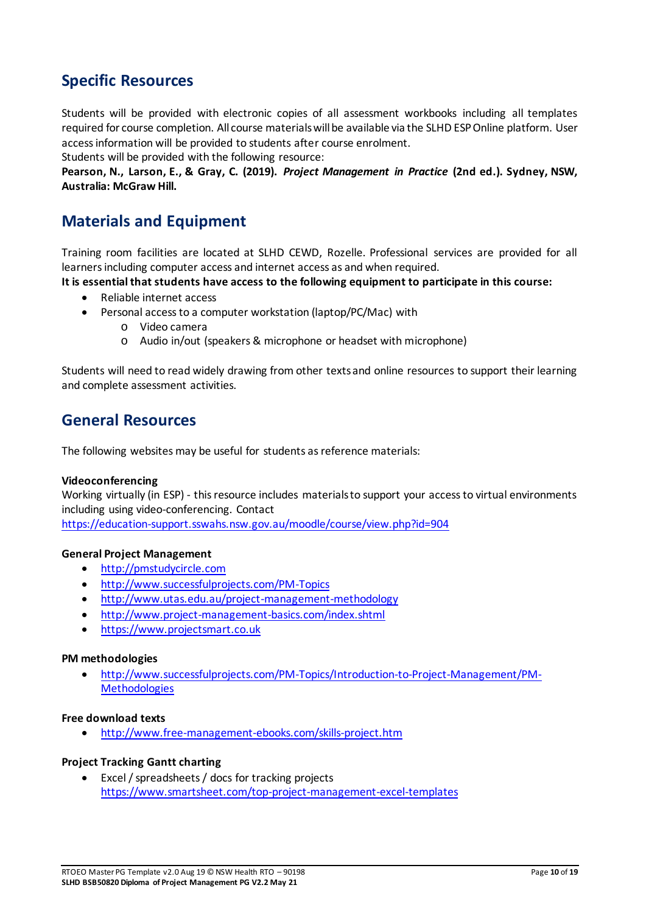# <span id="page-9-0"></span>**Specific Resources**

Students will be provided with electronic copies of all assessment workbooks including all templates required for course completion. All course materials will be available via the SLHD ESP Online platform. User access information will be provided to students after course enrolment.

Students will be provided with the following resource:

**Pearson, N., Larson, E., & Gray, C. (2019).** *Project Management in Practice* **(2nd ed.). Sydney, NSW, Australia: McGraw Hill.** 

# <span id="page-9-1"></span>**Materials and Equipment**

Training room facilities are located at SLHD CEWD, Rozelle. Professional services are provided for all learners including computer access and internet access as and when required.

**It is essential that students have access to the following equipment to participate in this course:** 

- Reliable internet access
- Personal access to a computer workstation (laptop/PC/Mac) with
	- o Video camera
	- o Audio in/out (speakers & microphone or headset with microphone)

Students will need to read widely drawing from other texts and online resources to support their learning and complete assessment activities.

### <span id="page-9-2"></span>**General Resources**

The following websites may be useful for students as reference materials:

#### **Videoconferencing**

Working virtually (in ESP) - this resource includes materials to support your access to virtual environments including using video-conferencing. Contact

<https://education-support.sswahs.nsw.gov.au/moodle/course/view.php?id=904>

#### **General Project Management**

- [http://pmstudycircle.com](http://pmstudycircle.com/)
- <http://www.successfulprojects.com/PM-Topics>
- <http://www.utas.edu.au/project-management-methodology>
- <http://www.project-management-basics.com/index.shtml>
- [https://www.projectsmart.co.uk](https://www.projectsmart.co.uk/)

#### **PM methodologies**

 [http://www.successfulprojects.com/PM-Topics/Introduction-to-Project-Management/PM-](http://www.successfulprojects.com/PM-Topics/Introduction-to-Project-Management/PM-Methodologies)**Methodologies** 

#### **Free download texts**

<http://www.free-management-ebooks.com/skills-project.htm>

#### **Project Tracking Gantt charting**

 Excel / spreadsheets / docs for tracking projects <https://www.smartsheet.com/top-project-management-excel-templates>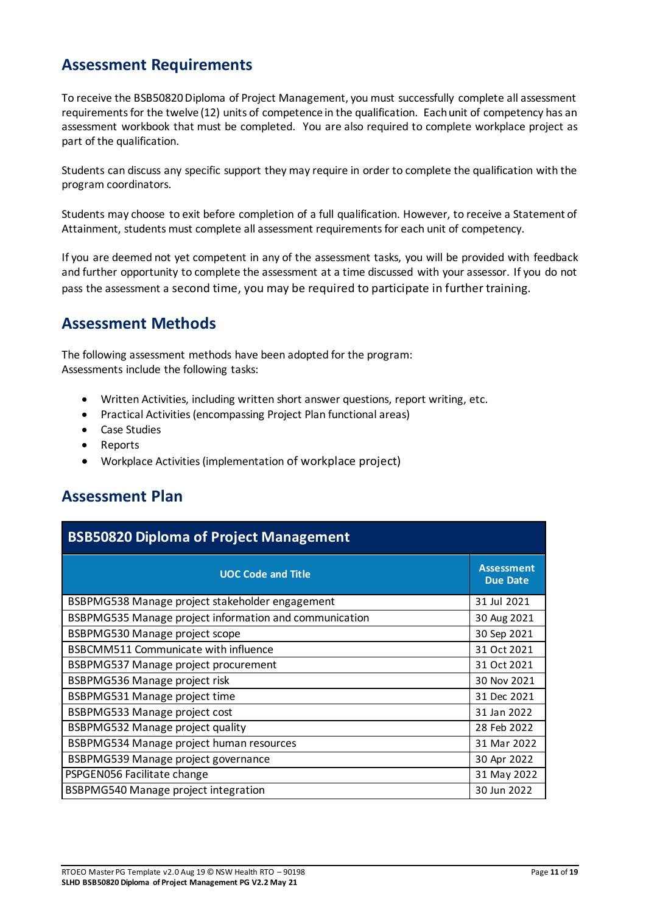# <span id="page-10-0"></span>**Assessment Requirements**

To receive the BSB50820 Diploma of Project Management, you must successfully complete all assessment requirements for the twelve (12) units of competence in the qualification. Each unit of competency has an assessment workbook that must be completed. You are also required to complete workplace project as part of the qualification.

Students can discuss any specific support they may require in order to complete the qualification with the program coordinators.

Students may choose to exit before completion of a full qualification. However, to receive a Statement of Attainment, students must complete all assessment requirements for each unit of competency.

If you are deemed not yet competent in any of the assessment tasks, you will be provided with feedback and further opportunity to complete the assessment at a time discussed with your assessor. If you do not pass the assessment a second time, you may be required to participate in further training.

### <span id="page-10-1"></span>**Assessment Methods**

The following assessment methods have been adopted for the program: Assessments include the following tasks:

- Written Activities, including written short answer questions, report writing, etc.
- Practical Activities (encompassing Project Plan functional areas)
- Case Studies
- Reports
- Workplace Activities (implementation of workplace project)

### <span id="page-10-2"></span>**Assessment Plan**

| <b>BSB50820 Diploma of Project Management</b>          |                                      |  |  |  |  |  |
|--------------------------------------------------------|--------------------------------------|--|--|--|--|--|
| <b>UOC Code and Title</b>                              | <b>Assessment</b><br><b>Due Date</b> |  |  |  |  |  |
| BSBPMG538 Manage project stakeholder engagement        | 31 Jul 2021                          |  |  |  |  |  |
| BSBPMG535 Manage project information and communication | 30 Aug 2021                          |  |  |  |  |  |
| BSBPMG530 Manage project scope                         | 30 Sep 2021                          |  |  |  |  |  |
| <b>BSBCMM511 Communicate with influence</b>            | 31 Oct 2021                          |  |  |  |  |  |
| BSBPMG537 Manage project procurement                   | 31 Oct 2021                          |  |  |  |  |  |
| BSBPMG536 Manage project risk                          | 30 Nov 2021                          |  |  |  |  |  |
| BSBPMG531 Manage project time                          | 31 Dec 2021                          |  |  |  |  |  |
| BSBPMG533 Manage project cost                          | 31 Jan 2022                          |  |  |  |  |  |
| BSBPMG532 Manage project quality                       | 28 Feb 2022                          |  |  |  |  |  |
| BSBPMG534 Manage project human resources               | 31 Mar 2022                          |  |  |  |  |  |
| BSBPMG539 Manage project governance                    | 30 Apr 2022                          |  |  |  |  |  |
| PSPGEN056 Facilitate change                            | 31 May 2022                          |  |  |  |  |  |
| BSBPMG540 Manage project integration                   | 30 Jun 2022                          |  |  |  |  |  |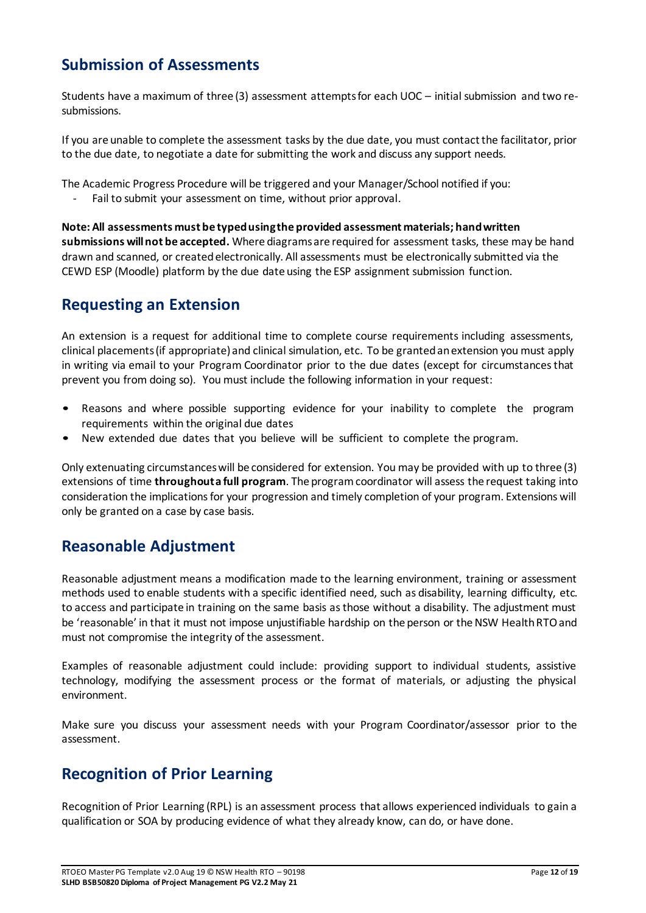# <span id="page-11-0"></span>**Submission of Assessments**

Students have a maximum of three (3) assessment attempts for each UOC – initial submission and two resubmissions.

If you are unable to complete the assessment tasks by the due date, you must contact the facilitator, prior to the due date, to negotiate a date for submitting the work and discuss any support needs.

The Academic Progress Procedure will be triggered and your Manager/School notified if you:

Fail to submit your assessment on time, without prior approval.

**Note: All assessments must be typed using the provided assessment materials; hand written submissions will not be accepted.** Where diagrams are required for assessment tasks, these may be hand drawn and scanned, or created electronically. All assessments must be electronically submitted via the CEWD ESP (Moodle) platform by the due date using the ESP assignment submission function.

# <span id="page-11-1"></span>**Requesting an Extension**

An extension is a request for additional time to complete course requirements including assessments, clinical placements (if appropriate) and clinical simulation, etc. To be granted an extension you must apply in writing via email to your Program Coordinator prior to the due dates (except for circumstances that prevent you from doing so). You must include the following information in your request:

- Reasons and where possible supporting evidence for your inability to complete the program requirements within the original due dates
- New extended due dates that you believe will be sufficient to complete the program.

Only extenuating circumstances will be considered for extension. You may be provided with up to three (3) extensions of time **throughout a full program**. The program coordinator will assess the request taking into consideration the implications for your progression and timely completion of your program. Extensions will only be granted on a case by case basis.

# <span id="page-11-2"></span>**Reasonable Adjustment**

Reasonable adjustment means a modification made to the learning environment, training or assessment methods used to enable students with a specific identified need, such as disability, learning difficulty, etc. to access and participate in training on the same basis as those without a disability. The adjustment must be 'reasonable' in that it must not impose unjustifiable hardship on the person or the NSW Health RTO and must not compromise the integrity of the assessment.

Examples of reasonable adjustment could include: providing support to individual students, assistive technology, modifying the assessment process or the format of materials, or adjusting the physical environment.

Make sure you discuss your assessment needs with your Program Coordinator/assessor prior to the assessment.

# <span id="page-11-3"></span>**Recognition of Prior Learning**

Recognition of Prior Learning (RPL) is an assessment process that allows experienced individuals to gain a qualification or SOA by producing evidence of what they already know, can do, or have done.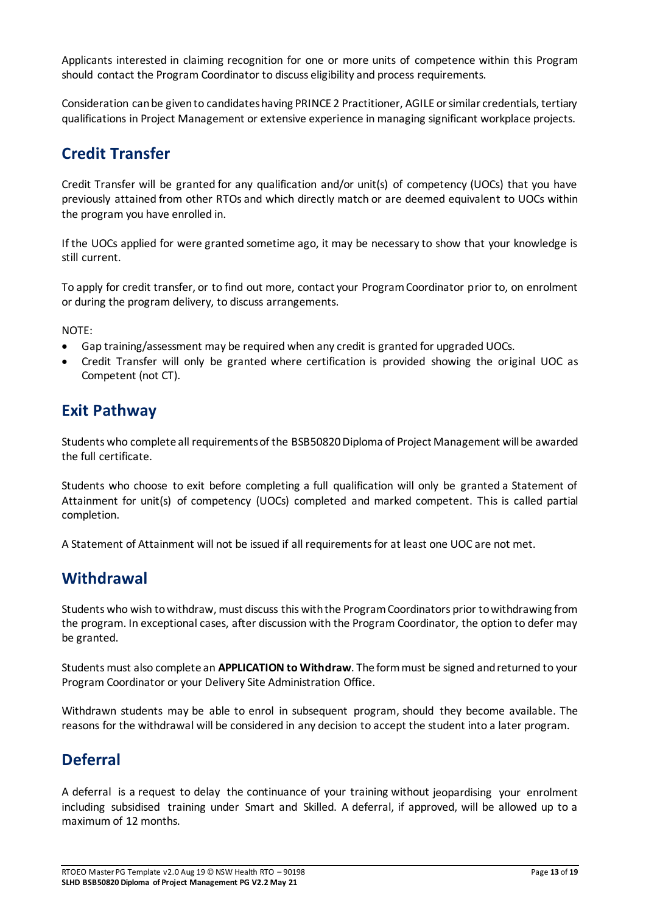Applicants interested in claiming recognition for one or more units of competence within this Program should contact the Program Coordinator to discuss eligibility and process requirements.

Consideration can be given to candidates having PRINCE 2 Practitioner, AGILE or similar credentials, tertiary qualifications in Project Management or extensive experience in managing significant workplace projects.

### <span id="page-12-0"></span>**Credit Transfer**

Credit Transfer will be granted for any qualification and/or unit(s) of competency (UOCs) that you have previously attained from other RTOs and which directly match or are deemed equivalent to UOCs within the program you have enrolled in.

If the UOCs applied for were granted sometime ago, it may be necessary to show that your knowledge is still current.

To apply for credit transfer, or to find out more, contact your Program Coordinator prior to, on enrolment or during the program delivery, to discuss arrangements.

NOTE:

- Gap training/assessment may be required when any credit is granted for upgraded UOCs.
- Credit Transfer will only be granted where certification is provided showing the original UOC as Competent (not CT).

### <span id="page-12-1"></span>**Exit Pathway**

Students who complete all requirements of the BSB50820 Diploma of Project Management will be awarded the full certificate.

Students who choose to exit before completing a full qualification will only be granted a Statement of Attainment for unit(s) of competency (UOCs) completed and marked competent. This is called partial completion.

A Statement of Attainment will not be issued if all requirements for at least one UOC are not met.

### <span id="page-12-2"></span>**Withdrawal**

Students who wish to withdraw, must discuss this with the Program Coordinators prior to withdrawing from the program. In exceptional cases, after discussion with the Program Coordinator, the option to defer may be granted.

Students must also complete an **APPLICATION to Withdraw**. The form must be signed and returned to your Program Coordinator or your Delivery Site Administration Office.

Withdrawn students may be able to enrol in subsequent program, should they become available. The reasons for the withdrawal will be considered in any decision to accept the student into a later program.

# <span id="page-12-3"></span>**Deferral**

A deferral is a request to delay the continuance of your training without jeopardising your enrolment including subsidised training under Smart and Skilled. A deferral, if approved, will be allowed up to a maximum of 12 months.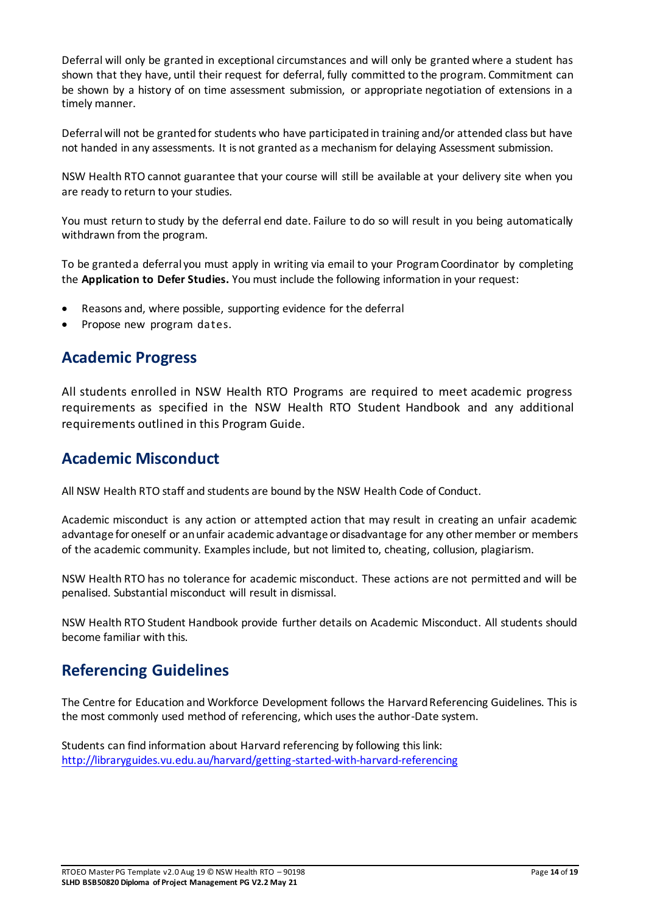Deferral will only be granted in exceptional circumstances and will only be granted where a student has shown that they have, until their request for deferral, fully committed to the program. Commitment can be shown by a history of on time assessment submission, or appropriate negotiation of extensions in a timely manner.

Deferral will not be granted for students who have participated in training and/or attended class but have not handed in any assessments. It is not granted as a mechanism for delaying Assessment submission.

NSW Health RTO cannot guarantee that your course will still be available at your delivery site when you are ready to return to your studies.

You must return to study by the deferral end date. Failure to do so will result in you being automatically withdrawn from the program.

To be granted a deferral you must apply in writing via email to your Program Coordinator by completing the **Application to Defer Studies.** You must include the following information in your request:

- Reasons and, where possible, supporting evidence for the deferral
- Propose new program dates.

### <span id="page-13-0"></span>**Academic Progress**

All students enrolled in NSW Health RTO Programs are required to meet academic progress requirements as specified in the NSW Health RTO Student Handbook and any additional requirements outlined in this Program Guide.

### <span id="page-13-1"></span>**Academic Misconduct**

All NSW Health RTO staff and students are bound by the NSW Health Code of Conduct.

Academic misconduct is any action or attempted action that may result in creating an unfair academic advantage for oneself or an unfair academic advantage or disadvantage for any other member or members of the academic community. Examples include, but not limited to, cheating, collusion, plagiarism.

NSW Health RTO has no tolerance for academic misconduct. These actions are not permitted and will be penalised. Substantial misconduct will result in dismissal.

NSW Health RTO Student Handbook provide further details on Academic Misconduct. All students should become familiar with this.

### <span id="page-13-2"></span>**Referencing Guidelines**

The Centre for Education and Workforce Development follows the Harvard Referencing Guidelines. This is the most commonly used method of referencing, which uses the author-Date system.

Students can find information about Harvard referencing by following this link: <http://libraryguides.vu.edu.au/harvard/getting-started-with-harvard-referencing>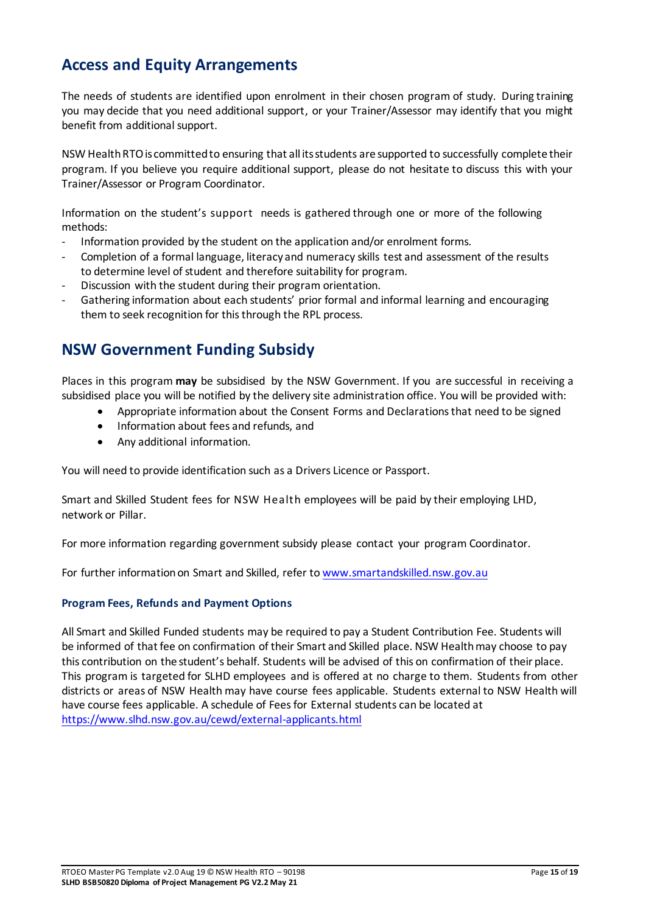# <span id="page-14-0"></span>**Access and Equity Arrangements**

The needs of students are identified upon enrolment in their chosen program of study. During training you may decide that you need additional support, or your Trainer/Assessor may identify that you might benefit from additional support.

NSW Health RTO is committed to ensuring that all its students are supported to successfully complete their program. If you believe you require additional support, please do not hesitate to discuss this with your Trainer/Assessor or Program Coordinator.

Information on the student's support needs is gathered through one or more of the following methods:

- Information provided by the student on the application and/or enrolment forms.
- Completion of a formal language, literacy and numeracy skills test and assessment of the results to determine level of student and therefore suitability for program.
- Discussion with the student during their program orientation.
- Gathering information about each students' prior formal and informal learning and encouraging them to seek recognition for this through the RPL process.

### <span id="page-14-1"></span>**NSW Government Funding Subsidy**

Places in this program **may** be subsidised by the NSW Government. If you are successful in receiving a subsidised place you will be notified by the delivery site administration office. You will be provided with:

- Appropriate information about the Consent Forms and Declarations that need to be signed
- Information about fees and refunds, and
- Any additional information.

You will need to provide identification such as a Drivers Licence or Passport.

Smart and Skilled Student fees for NSW Health employees will be paid by their employing LHD, network or Pillar.

For more information regarding government subsidy please contact your program Coordinator.

For further information on Smart and Skilled, refer t[o www.smartandskilled.nsw.gov.au](http://www.smartandskilled.nsw.gov.au/)

#### <span id="page-14-2"></span>**Program Fees, Refunds and Payment Options**

All Smart and Skilled Funded students may be required to pay a Student Contribution Fee. Students will be informed of that fee on confirmation of their Smart and Skilled place. NSW Health may choose to pay this contribution on the student's behalf. Students will be advised of this on confirmation of their place. This program is targeted for SLHD employees and is offered at no charge to them. Students from other districts or areas of NSW Health may have course fees applicable. Students external to NSW Health will have course fees applicable. A schedule of Fees for External students can be located at <https://www.slhd.nsw.gov.au/cewd/external-applicants.html>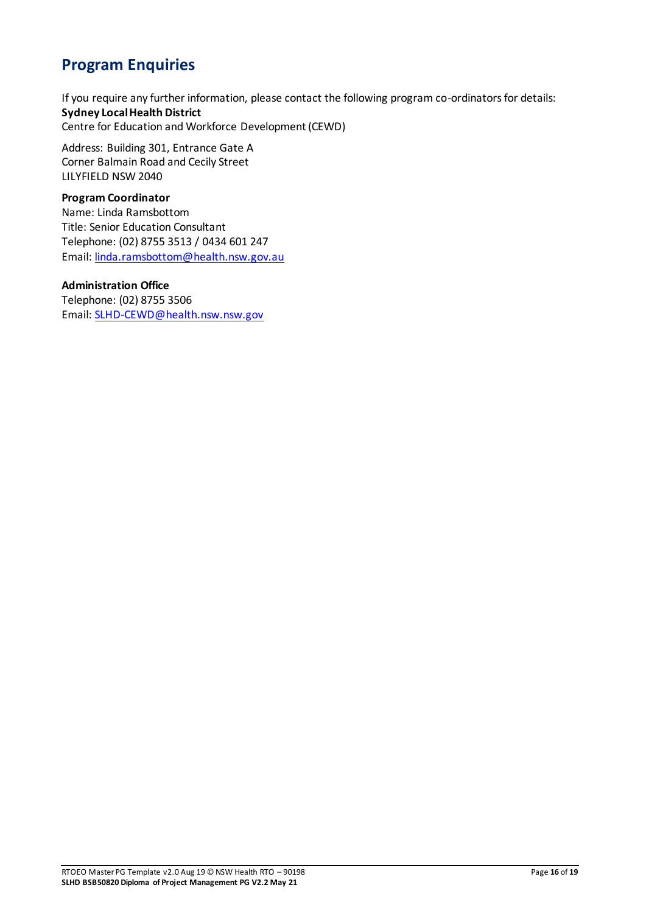# <span id="page-15-0"></span>**Program Enquiries**

If you require any further information, please contact the following program co-ordinators for details: **Sydney Local Health District**  Centre for Education and Workforce Development (CEWD)

Address: Building 301, Entrance Gate A Corner Balmain Road and Cecily Street LILYFIELD NSW 2040

#### **Program Coordinator**

Name: Linda Ramsbottom Title: Senior Education Consultant Telephone: (02) 8755 3513 / 0434 601 247 Email[: linda.ramsbottom@health.nsw.gov.au](mailto:linda.ramsbottom@health.nsw.gov.au)

#### **Administration Office**

Telephone: (02) 8755 3506 Email[: SLHD-CEWD@health.nsw.nsw.gov](mailto:SLHD-CEWD@health.nsw.nsw.gov)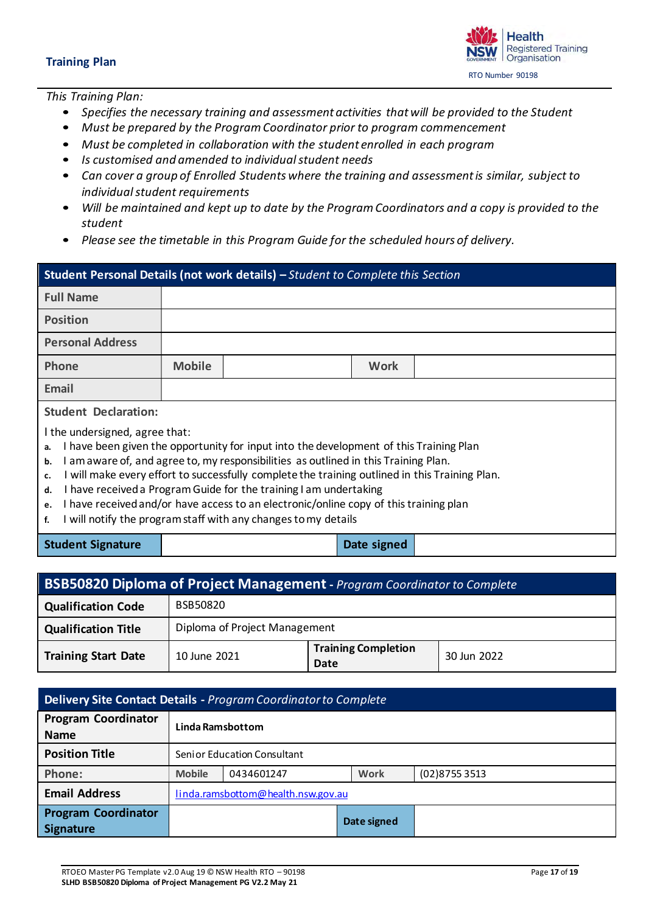<span id="page-16-0"></span>*This Training Plan:* 

- *Specifies the necessary training and assessment activities that will be provided to the Student*
- *Must be prepared by the Program Coordinator prior to program commencement*
- *Must be completed in collaboration with the student enrolled in each program*
- *Is customised and amended to individual student needs*
- *Can cover a group of Enrolled Students where the training and assessment is similar, subject to individual student requirements*
- *Will be maintained and kept up to date by the Program Coordinators and a copy is provided to the student*
- *Please see the timetable in this Program Guide for the scheduled hours of delivery.*

| Student Personal Details (not work details) - Student to Complete this Section                                                                                                                                                                                                                                                                                                                                                                                                                                                                                                        |               |  |             |  |  |  |
|---------------------------------------------------------------------------------------------------------------------------------------------------------------------------------------------------------------------------------------------------------------------------------------------------------------------------------------------------------------------------------------------------------------------------------------------------------------------------------------------------------------------------------------------------------------------------------------|---------------|--|-------------|--|--|--|
| <b>Full Name</b>                                                                                                                                                                                                                                                                                                                                                                                                                                                                                                                                                                      |               |  |             |  |  |  |
| <b>Position</b>                                                                                                                                                                                                                                                                                                                                                                                                                                                                                                                                                                       |               |  |             |  |  |  |
| <b>Personal Address</b>                                                                                                                                                                                                                                                                                                                                                                                                                                                                                                                                                               |               |  |             |  |  |  |
| <b>Phone</b>                                                                                                                                                                                                                                                                                                                                                                                                                                                                                                                                                                          | <b>Mobile</b> |  | <b>Work</b> |  |  |  |
| Email                                                                                                                                                                                                                                                                                                                                                                                                                                                                                                                                                                                 |               |  |             |  |  |  |
| <b>Student Declaration:</b>                                                                                                                                                                                                                                                                                                                                                                                                                                                                                                                                                           |               |  |             |  |  |  |
| I the undersigned, agree that:<br>I have been given the opportunity for input into the development of this Training Plan<br>a.<br>I am aware of, and agree to, my responsibilities as outlined in this Training Plan.<br>b.<br>I will make every effort to successfully complete the training outlined in this Training Plan.<br>c.<br>I have received a Program Guide for the training I am undertaking<br>d.<br>I have received and/or have access to an electronic/online copy of this training plan<br>e.<br>I will notify the program staff with any changes to my details<br>f. |               |  |             |  |  |  |
| <b>Student Signature</b>                                                                                                                                                                                                                                                                                                                                                                                                                                                                                                                                                              |               |  | Date signed |  |  |  |

| <b>BSB50820 Diploma of Project Management</b> - Program Coordinator to Complete |                               |                                    |             |  |  |
|---------------------------------------------------------------------------------|-------------------------------|------------------------------------|-------------|--|--|
| <b>Qualification Code</b>                                                       | BSB50820                      |                                    |             |  |  |
| <b>Qualification Title</b>                                                      | Diploma of Project Management |                                    |             |  |  |
| <b>Training Start Date</b>                                                      | 10 June 2021                  | <b>Training Completion</b><br>Date | 30 Jun 2022 |  |  |

| Delivery Site Contact Details - Program Coordinator to Complete |                                    |                             |             |                |  |  |  |
|-----------------------------------------------------------------|------------------------------------|-----------------------------|-------------|----------------|--|--|--|
| <b>Program Coordinator</b><br><b>Name</b>                       | Linda Ramsbottom                   |                             |             |                |  |  |  |
| <b>Position Title</b>                                           |                                    | Senior Education Consultant |             |                |  |  |  |
| Phone:                                                          | <b>Mobile</b>                      | 0434601247                  | Work        | (02) 8755 3513 |  |  |  |
| <b>Email Address</b>                                            | linda.ramsbottom@health.nsw.gov.au |                             |             |                |  |  |  |
| <b>Program Coordinator</b><br><b>Signature</b>                  |                                    |                             | Date signed |                |  |  |  |



RTO Number 90198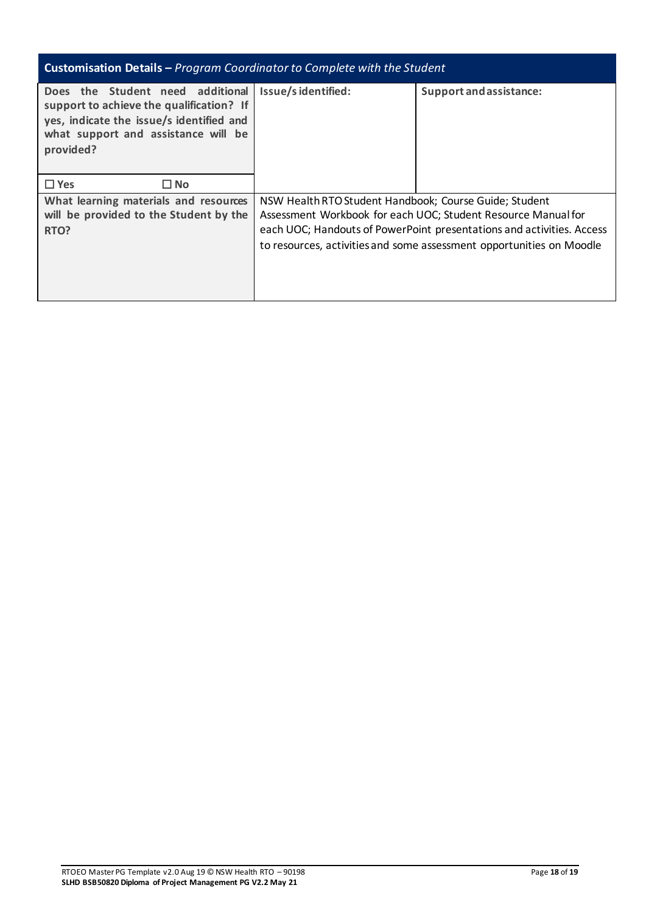| <b>Customisation Details - Program Coordinator to Complete with the Student</b>                                                                                              |                                                                                                                                                                                                                                                                          |                         |  |  |  |  |  |
|------------------------------------------------------------------------------------------------------------------------------------------------------------------------------|--------------------------------------------------------------------------------------------------------------------------------------------------------------------------------------------------------------------------------------------------------------------------|-------------------------|--|--|--|--|--|
| Does the Student need additional<br>support to achieve the qualification? If<br>yes, indicate the issue/s identified and<br>what support and assistance will be<br>provided? | Issue/sidentified:                                                                                                                                                                                                                                                       | Support and assistance: |  |  |  |  |  |
| $\Box$ Yes<br>$\square$ No                                                                                                                                                   |                                                                                                                                                                                                                                                                          |                         |  |  |  |  |  |
| What learning materials and resources<br>will be provided to the Student by the<br>RTO?                                                                                      | NSW Health RTO Student Handbook; Course Guide; Student<br>Assessment Workbook for each UOC; Student Resource Manual for<br>each UOC; Handouts of PowerPoint presentations and activities. Access<br>to resources, activities and some assessment opportunities on Moodle |                         |  |  |  |  |  |